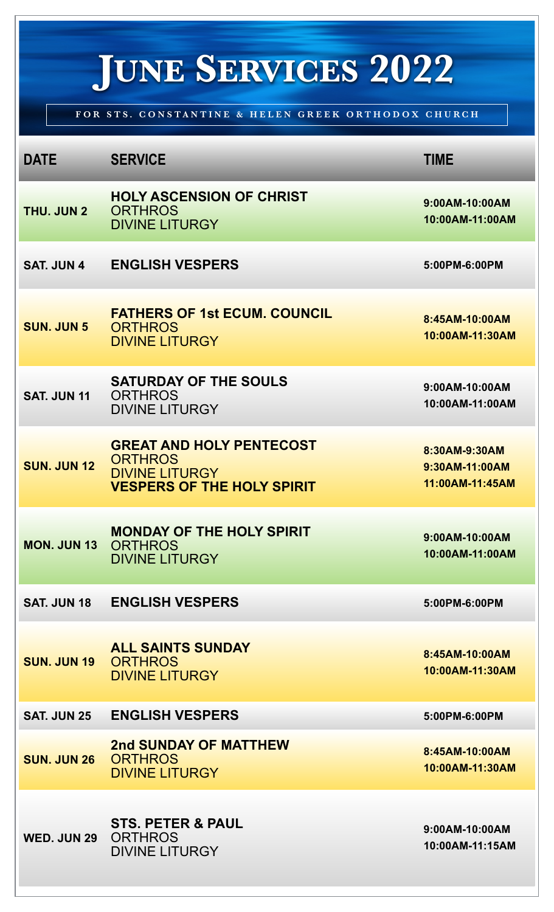## **JUNE SERVICES 2022**

**FOR STS. CONSTANTINE & HELEN GREEK ORTHODOX CHURCH**

| <b>DATE</b>        | <b>SERVICE</b>                                                                                                  | <b>TIME</b>                                        |
|--------------------|-----------------------------------------------------------------------------------------------------------------|----------------------------------------------------|
| THU. JUN 2         | <b>HOLY ASCENSION OF CHRIST</b><br><b>ORTHROS</b><br><b>DIVINE LITURGY</b>                                      | 9:00AM-10:00AM<br>10:00AM-11:00AM                  |
| <b>SAT. JUN 4</b>  | <b>ENGLISH VESPERS</b>                                                                                          | 5:00PM-6:00PM                                      |
| <b>SUN. JUN 5</b>  | <b>FATHERS OF 1st ECUM. COUNCIL</b><br><b>ORTHROS</b><br><b>DIVINE LITURGY</b>                                  | 8:45AM-10:00AM<br>10:00AM-11:30AM                  |
| <b>SAT. JUN 11</b> | <b>SATURDAY OF THE SOULS</b><br><b>ORTHROS</b><br><b>DIVINE LITURGY</b>                                         | 9:00AM-10:00AM<br>10:00AM-11:00AM                  |
| <b>SUN. JUN 12</b> | <b>GREAT AND HOLY PENTECOST</b><br><b>ORTHROS</b><br><b>DIVINE LITURGY</b><br><b>VESPERS OF THE HOLY SPIRIT</b> | 8:30AM-9:30AM<br>9:30AM-11:00AM<br>11:00AM-11:45AM |
| <b>MON. JUN 13</b> | <b>MONDAY OF THE HOLY SPIRIT</b><br><b>ORTHROS</b><br><b>DIVINE LITURGY</b>                                     | 9:00AM-10:00AM<br>10:00AM-11:00AM                  |
| <b>SAT. JUN 18</b> | <b>ENGLISH VESPERS</b>                                                                                          | 5:00PM-6:00PM                                      |
| <b>SUN. JUN 19</b> | <b>ALL SAINTS SUNDAY</b><br><b>ORTHROS</b><br><b>DIVINE LITURGY</b>                                             | 8:45AM-10:00AM<br>10:00AM-11:30AM                  |
| <b>SAT. JUN 25</b> | <b>ENGLISH VESPERS</b>                                                                                          | 5:00PM-6:00PM                                      |
| <b>SUN. JUN 26</b> | 2nd SUNDAY OF MATTHEW<br><b>ORTHROS</b><br><b>DIVINE LITURGY</b>                                                | 8:45AM-10:00AM<br>10:00AM-11:30AM                  |
| <b>WED. JUN 29</b> | <b>STS. PETER &amp; PAUL</b><br><b>ORTHROS</b><br><b>DIVINE LITURGY</b>                                         | 9:00AM-10:00AM<br>10:00AM-11:15AM                  |